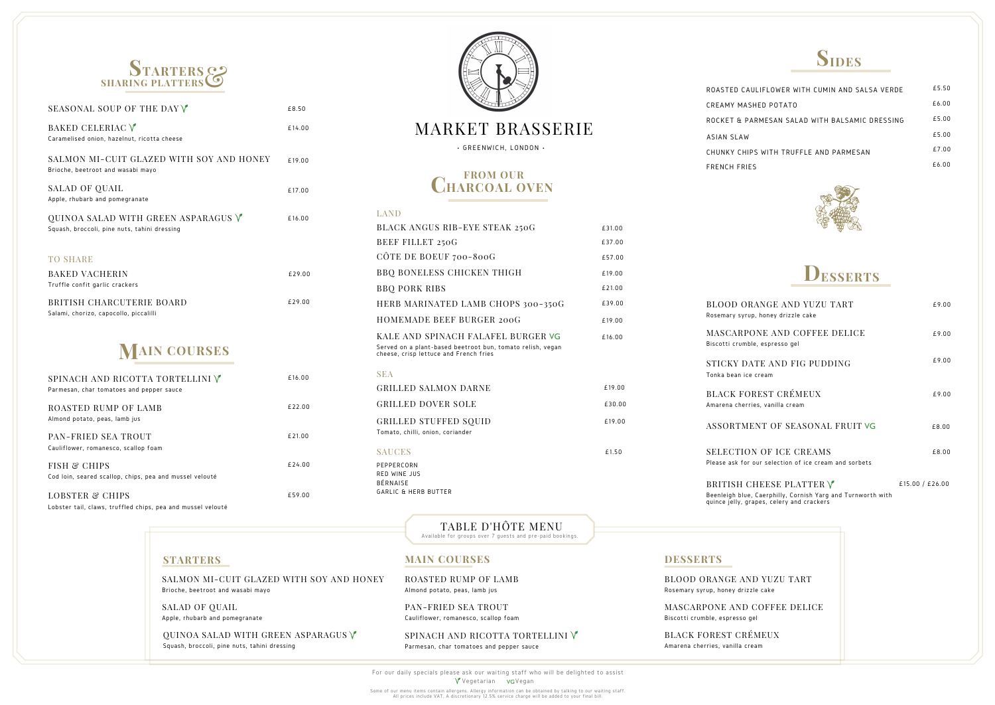# **CHARCOAL OVEN FROM OUR**

### **STARTERS MAIN COURSES DESSERTS**

### MARKET BRASSERIE

• GREENWICH, LONDON •

For our daily specials please ask our waiting staff who will be delighted to assist V Vegetarian vG Vegan

Some of our menu items contain allergens. Allergy information can be obtained by talking to our waiting staff. All prices include VAT. A discretionary 12.5% service charge will be added to your final bill.

#### LAND

CREAMY MAS ROCKET & PA CHUNKY CHIP FRENCH FRIE! ASIAN SLAW

BLOOD ORA Rosemary syrup

**MASCARPC** Biscotti crumble

STICKY DAT Tonka bean ice

BLACK FOR Amarena cherrie

**ASSORTME** 

**SELECTION** Please ask for

BRITISH CI Beenleigh blue, quince jelly, gra

QUINOA SALAD WITH GREEN ASPARAGUS  $\sqrt{\ }$ Squash, broccoli, pine nuts, tahini dressing

| BLACK ANGUS RIB-EYE STEAK 250G                                                                                                             | £31.00 |
|--------------------------------------------------------------------------------------------------------------------------------------------|--------|
| BEEF FILLET 250G                                                                                                                           | £37.00 |
|                                                                                                                                            |        |
| CÔTE DE BOEUF 700-800G                                                                                                                     | £57.00 |
| <b>BBQ BONELESS CHICKEN THIGH</b>                                                                                                          | £19.00 |
| <b>BBQ PORK RIBS</b>                                                                                                                       | £21.00 |
| HERB MARINATED LAMB CHOPS 300-350G                                                                                                         | £39.00 |
| HOMEMADE BEEF BURGER 200G                                                                                                                  | £19.00 |
| KALE AND SPINACH FALAFEL BURGER VG<br>Served on a plant-based beetroot bun, tomato relish, vegan<br>cheese, crisp lettuce and French fries | £16.00 |
| <b>SEA</b>                                                                                                                                 |        |
| <b>GRILLED SALMON DARNE</b>                                                                                                                | £19.00 |
| <b>GRILLED DOVER SOLE</b>                                                                                                                  | £30.00 |
| <b>GRILLED STUFFED SQUID</b><br>Tomato, chilli, onion, coriander                                                                           | £19.00 |
| <b>SAUCES</b>                                                                                                                              | £1.50  |
| PEPPERCORN<br><b>RED WINE JUS</b><br><b>BÉRNAISE</b><br><b>GARLIC &amp; HERB BUTTER</b>                                                    |        |

SPINACH AND RICOTTA TORTELLINI V Parmesan, char tomatoes and pepper sauce

BLOOD ORANGE ANI Rosemary syrup, honey drizzl

MASCARPONE AND C Biscotti crumble, espresso gel

BLACK FOREST CRÉ Amarena cherries, vanilla cre

| ROASTED CAULIFLOWER WITH CUMIN AND SALSA VERDE | £5.50 |
|------------------------------------------------|-------|
| CREAMY MASHED POTATO                           | £6.00 |
| ROCKET & PARMESAN SALAD WITH BALSAMIC DRESSING | £5.00 |
| ASIAN SLAW                                     | £5.00 |
| CHUNKY CHIPS WITH TRUFFLF AND PARMESAN         | £7.00 |
| <b>FRENCH FRIES</b>                            | £6.00 |
|                                                |       |



SALMON MI-CUIT GLAZED WITH SOY AND HONEY Brioche, beetroot and wasabi mayo

SALAD OF QUAIL Apple, rhubarb and pomegranate ROASTED RUMP OF LAMB Almond potato, peas, lamb jus

PAN-FRIED SEA TROUT Cauliflower, romanesco, scallop foam

TABLE D'HÔTE MENU Available for groups over 7 guests and pre-paid bookings.

| ANGE AND YUZU TART<br>, honey drizzle cake                                                         | £9.00           |
|----------------------------------------------------------------------------------------------------|-----------------|
| )NE AND COFFEE DELICE<br>e, espresso gel                                                           | £9.00           |
| TE AND FIG PUDDING<br>cream                                                                        | £9.00           |
| REST CRÉMEUX<br>es, vanilla cream                                                                  | £9.00           |
| NT OF SEASONAL FRUIT VG:                                                                           | £8.00           |
| <b>VOF ICE CREAMS</b><br>our selection of ice cream and sorbets                                    | £8.00           |
| HEESE PLATTER $\forall$<br>Caerphilly, Cornish Yarg and Turnworth with<br>pes, celery and crackers | £15.00 / £26.00 |
|                                                                                                    |                 |
| D YUZU TART<br>le cake                                                                             |                 |
| COFFEE DELICE<br>ا ڍ                                                                               |                 |
| MEUX<br>am                                                                                         |                 |

| SEASONAL SOUP OF THE DAY V                                                                                       | £8.50  |
|------------------------------------------------------------------------------------------------------------------|--------|
| BAKED CELERIAC V<br>Caramelised onion, hazelnut, ricotta cheese                                                  | £14.00 |
| SALMON MI-CUIT GLAZED WITH SOY AND HONEY<br>Brioche, beetroot and wasabi mayo                                    | £19.00 |
| SALAD OF QUAIL<br>Apple, rhubarb and pomegranate                                                                 | £17.00 |
| QUINOA SALAD WITH GREEN ASPARAGUS $\mathsf{\mathsf{\mathsf{V}}}$<br>Squash, broccoli, pine nuts, tahini dressing | £16.00 |
| <b>TO SHARE</b>                                                                                                  |        |
| <b>BAKED VACHERIN</b><br>Truffle confit garlic crackers                                                          | £29.00 |
| BRITISH CHARCUTERIE BOARD<br>Salami, chorizo, capocollo, piccalilli                                              | £29.00 |
| <b>MAIN COURSES</b>                                                                                              |        |
| SPINACH AND RICOTTA TORTELLINI V<br>Parmesan, char tomatoes and pepper sauce                                     | £16.00 |
| ROASTED RUMP OF LAMB<br>Almond potato, peas, lamb jus                                                            | £22.00 |
| PAN-FRIED SEA TROUT<br>Cauliflower, romanesco, scallop foam                                                      | £21.00 |
| <b>FISH &amp; CHIPS</b><br>Cod loin, seared scallop, chips, pea and mussel velouté                               | £24.00 |









Lobster tail, claws, truffled chips, pea and mussel velouté



£59.00